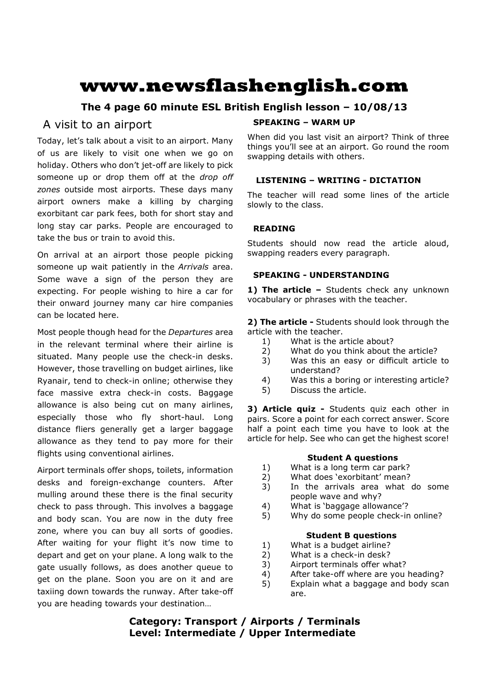# **www.newsflashenglish.com**

# **The 4 page 60 minute ESL British English lesson – 10/08/13**

# A visit to an airport

Today, let's talk about a visit to an airport. Many of us are likely to visit one when we go on holiday. Others who don't jet-off are likely to pick someone up or drop them off at the *drop off zones* outside most airports. These days many airport owners make a killing by charging exorbitant car park fees, both for short stay and long stay car parks. People are encouraged to take the bus or train to avoid this.

On arrival at an airport those people picking someone up wait patiently in the *Arrivals* area. Some wave a sign of the person they are expecting. For people wishing to hire a car for their onward journey many car hire companies can be located here.

Most people though head for the *Departures* area in the relevant terminal where their airline is situated. Many people use the check-in desks. However, those travelling on budget airlines, like Ryanair, tend to check-in online; otherwise they face massive extra check-in costs. Baggage allowance is also being cut on many airlines, especially those who fly short-haul. Long distance fliers generally get a larger baggage allowance as they tend to pay more for their flights using conventional airlines.

Airport terminals offer shops, toilets, information desks and foreign-exchange counters. After mulling around these there is the final security check to pass through. This involves a baggage and body scan. You are now in the duty free zone, where you can buy all sorts of goodies. After waiting for your flight it's now time to depart and get on your plane. A long walk to the gate usually follows, as does another queue to get on the plane. Soon you are on it and are taxiing down towards the runway. After take-off you are heading towards your destination…

### **SPEAKING – WARM UP**

When did you last visit an airport? Think of three things you'll see at an airport. Go round the room swapping details with others.

# **LISTENING – WRITING - DICTATION**

The teacher will read some lines of the article slowly to the class.

# **READING**

Students should now read the article aloud, swapping readers every paragraph.

# **SPEAKING - UNDERSTANDING**

1) The article - Students check any unknown vocabulary or phrases with the teacher.

**2) The article -** Students should look through the article with the teacher.

- 1) What is the article about?
- 2) What do you think about the article?
- 3) Was this an easy or difficult article to understand?
- 4) Was this a boring or interesting article?
- 5) Discuss the article.

**3) Article quiz -** Students quiz each other in pairs. Score a point for each correct answer. Score half a point each time you have to look at the article for help. See who can get the highest score!

#### **Student A questions**

- 1) What is a long term car park?
- 2) What does 'exorbitant' mean?
- 3) In the arrivals area what do some people wave and why?
- 4) What is 'baggage allowance'?
- 5) Why do some people check-in online?

#### **Student B questions**

- 1) What is a budget airline?
- 2) What is a check-in desk?
- 3) Airport terminals offer what?
- 4) After take-off where are you heading?
- 5) Explain what a baggage and body scan are.

**Category: Transport / Airports / Terminals Level: Intermediate / Upper Intermediate**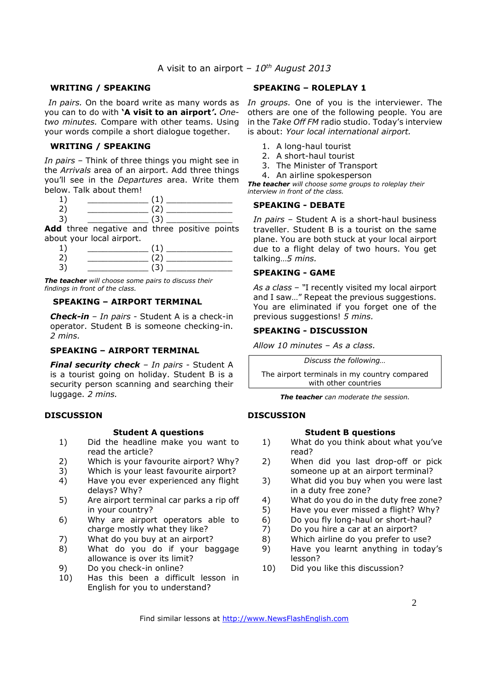#### **WRITING / SPEAKING**

you can to do with **'A visit to an airport***'***.** *Onetwo minutes.* Compare with other teams. Using your words compile a short dialogue together.

#### **WRITING / SPEAKING**

*In pairs* – Think of three things you might see in the *Arrivals* area of an airport. Add three things you'll see in the *Departures* area. Write them below. Talk about them!

| $\overline{\phantom{0}}$ |   |  |
|--------------------------|---|--|
|                          | . |  |

 $3) \qquad \qquad (3)$ Add three negative and three positive points about your local airport.

*The teacher will choose some pairs to discuss their findings in front of the class.* 

#### **SPEAKING – AIRPORT TERMINAL**

*Check-in* – *In pairs* - Student A is a check-in operator. Student B is someone checking-in. *2 mins.* 

#### **SPEAKING – AIRPORT TERMINAL**

*Final security check – In pairs -* Student A is a tourist going on holiday. Student B is a security person scanning and searching their luggage. *2 mins.*

#### **DISCUSSION**

#### **Student A questions**

- 1) Did the headline make you want to read the article?
- 2) Which is your favourite airport? Why?
- 3) Which is your least favourite airport?
- 4) Have you ever experienced any flight delays? Why?
- 5) Are airport terminal car parks a rip off in your country?
- 6) Why are airport operators able to charge mostly what they like?
- 7) What do you buy at an airport?
- 8) What do you do if your baggage allowance is over its limit?
- 9) Do you check-in online?
- 10) Has this been a difficult lesson in English for you to understand?

#### **SPEAKING – ROLEPLAY 1**

In pairs. On the board write as many words as In groups. One of you is the interviewer. The others are one of the following people. You are in the *Take Off FM* radio studio. Today's interview is about: *Your local international airport.* 

- 1. A long-haul tourist
- 2. A short-haul tourist
- 3. The Minister of Transport
- 4. An airline spokesperson

*The teacher will choose some groups to roleplay their interview in front of the class.* 

#### **SPEAKING - DEBATE**

*In pairs –* Student A is a short-haul business traveller. Student B is a tourist on the same plane. You are both stuck at your local airport due to a flight delay of two hours. You get talking…*5 mins.*

#### **SPEAKING - GAME**

*As a class – "*I recently visited my local airport and I saw…" Repeat the previous suggestions. You are eliminated if you forget one of the previous suggestions! *5 mins.*

# **SPEAKING - DISCUSSION**

*Allow 10 minutes* – *As a class.* 

*Discuss the following…* 

The airport terminals in my country compared with other countries

*The teacher can moderate the session.* 

#### **DISCUSSION**

#### **Student B questions**

- 1) What do you think about what you've read?
- 2) When did you last drop-off or pick someone up at an airport terminal?
- 3) What did you buy when you were last in a duty free zone?
- 4) What do you do in the duty free zone?
- 5) Have you ever missed a flight? Why?
- 6) Do you fly long-haul or short-haul?
- 7) Do you hire a car at an airport?
- 8) Which airline do you prefer to use?
- 9) Have you learnt anything in today's lesson?
- 10) Did you like this discussion?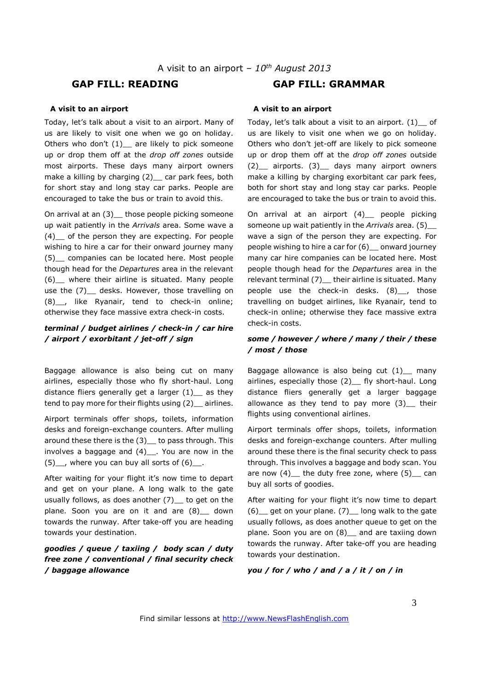#### **A visit to an airport**

Today, let's talk about a visit to an airport. Many of us are likely to visit one when we go on holiday. Others who don't  $(1)$  are likely to pick someone up or drop them off at the *drop off zones* outside most airports. These days many airport owners make a killing by charging (2) car park fees, both for short stay and long stay car parks. People are encouraged to take the bus or train to avoid this.

On arrival at an (3) those people picking someone up wait patiently in the *Arrivals* area. Some wave a (4)\_\_ of the person they are expecting. For people wishing to hire a car for their onward journey many (5)\_\_ companies can be located here. Most people though head for the *Departures* area in the relevant (6)\_\_ where their airline is situated. Many people use the (7) \_ desks. However, those travelling on (8)\_\_, like Ryanair, tend to check-in online; otherwise they face massive extra check-in costs.

#### *terminal / budget airlines / check-in / car hire / airport / exorbitant / jet-off / sign*

Baggage allowance is also being cut on many airlines, especially those who fly short-haul. Long distance fliers generally get a larger  $(1)$  as they tend to pay more for their flights using (2) airlines.

Airport terminals offer shops, toilets, information desks and foreign-exchange counters. After mulling around these there is the (3) to pass through. This involves a baggage and (4)\_\_. You are now in the  $(5)$ , where you can buy all sorts of  $(6)$ .

After waiting for your flight it's now time to depart and get on your plane. A long walk to the gate usually follows, as does another  $(7)$  to get on the plane. Soon you are on it and are (8) \_ down towards the runway. After take-off you are heading towards your destination.

#### *goodies / queue / taxiing / body scan / duty free zone / conventional / final security check / baggage allowance*

# **GAP FILL: READING GAP FILL: GRAMMAR**

#### **A visit to an airport**

Today, let's talk about a visit to an airport. (1)\_\_ of us are likely to visit one when we go on holiday. Others who don't jet-off are likely to pick someone up or drop them off at the *drop off zones* outside (2)\_\_ airports. (3)\_\_ days many airport owners make a killing by charging exorbitant car park fees, both for short stay and long stay car parks. People are encouraged to take the bus or train to avoid this.

On arrival at an airport (4)\_\_ people picking someone up wait patiently in the *Arrivals* area. (5)\_\_ wave a sign of the person they are expecting. For people wishing to hire a car for (6)\_\_ onward journey many car hire companies can be located here. Most people though head for the *Departures* area in the relevant terminal (7) their airline is situated. Many people use the check-in desks. (8)<sub>\_\_</sub>, those travelling on budget airlines, like Ryanair, tend to check-in online; otherwise they face massive extra check-in costs.

#### *some / however / where / many / their / these / most / those*

Baggage allowance is also being cut  $(1)$  many airlines, especially those (2) \_ fly short-haul. Long distance fliers generally get a larger baggage allowance as they tend to pay more  $(3)$  their flights using conventional airlines.

Airport terminals offer shops, toilets, information desks and foreign-exchange counters. After mulling around these there is the final security check to pass through. This involves a baggage and body scan. You are now  $(4)$  the duty free zone, where  $(5)$  can buy all sorts of goodies.

After waiting for your flight it's now time to depart  $(6)$  get on your plane.  $(7)$  long walk to the gate usually follows, as does another queue to get on the plane. Soon you are on (8)\_ and are taxiing down towards the runway. After take-off you are heading towards your destination.

#### *you / for / who / and / a / it / on / in*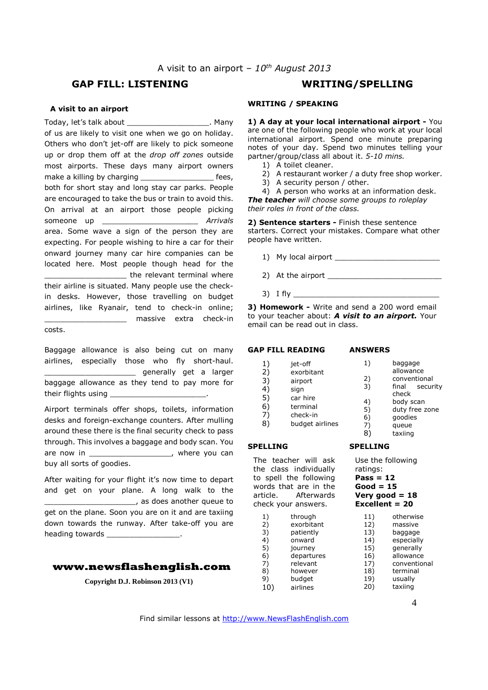# **GAP FILL: LISTENING WRITING/SPELLING**

#### **A visit to an airport**

Today, let's talk about \_\_\_\_\_\_\_\_\_\_\_\_\_\_\_\_\_\_. Many of us are likely to visit one when we go on holiday. Others who don't jet-off are likely to pick someone up or drop them off at the *drop off zones* outside most airports. These days many airport owners make a killing by charging make a killing by charging the set of the set of the set of the set of the set of the set of the set of the set of the set of the set of the set of the set of the set of the set of the set of the both for short stay and long stay car parks. People are encouraged to take the bus or train to avoid this. On arrival at an airport those people picking someone up \_\_\_\_\_\_\_\_\_\_\_\_\_\_\_\_\_\_\_\_\_ *Arrivals* area. Some wave a sign of the person they are expecting. For people wishing to hire a car for their onward journey many car hire companies can be located here. Most people though head for the the relevant terminal where their airline is situated. Many people use the checkin desks. However, those travelling on budget airlines, like Ryanair, tend to check-in online; \_\_\_\_\_\_\_\_\_\_\_\_\_\_\_\_\_\_ massive extra check-in

costs.

Baggage allowance is also being cut on many airlines, especially those who fly short-haul. \_\_\_\_\_\_\_\_\_\_\_\_\_\_\_\_\_\_\_\_ generally get a larger baggage allowance as they tend to pay more for their flights using

Airport terminals offer shops, toilets, information desks and foreign-exchange counters. After mulling around these there is the final security check to pass through. This involves a baggage and body scan. You are now in the set of the set of the set of the set of the set of the set of the set of the set of the set of t buy all sorts of goodies.

After waiting for your flight it's now time to depart and get on your plane. A long walk to the \_\_\_\_\_\_\_\_\_\_\_\_\_\_\_\_\_\_\_\_, as does another queue to get on the plane. Soon you are on it and are taxiing down towards the runway. After take-off you are heading towards

#### **www.newsflashenglish.com**

**Copyright D.J. Robinson 2013 (V1)**

# **WRITING / SPEAKING**

**1) A day at your local international airport -** You are one of the following people who work at your local international airport. Spend one minute preparing notes of your day. Spend two minutes telling your partner/group/class all about it. *5-10 mins.*

- 1) A toilet cleaner.
- 2) A restaurant worker / a duty free shop worker.
- 3) A security person / other.

4) A person who works at an information desk. *The teacher will choose some groups to roleplay their roles in front of the class.* 

**2) Sentence starters -** Finish these sentence starters. Correct your mistakes. Compare what other people have written.

- 1) My local airport
- 2) At the airport  $\overline{\phantom{a}}$
- 3) I fly

**3) Homework -** Write and send a 200 word email to your teacher about: *A visit to an airport.* Your email can be read out in class.

# **GAP FILL READING**  1) jet-off

2) exorbitant 3) airport<br>4) sign 4) sign 5) car hire 6) terminal 7) check-in 8) budget airlines

**SPELLING** 

#### **ANSWERS**

- 1) baggage allowance 2) conventional 3) final security
	- check 4) body scan<br>5) duty free z duty free zone
	- 6) goodies 7) queue
	- 8) taxiing
- 

# **SPELLING**

The teacher will ask the class individually to spell the following words that are in the article. Afterwards check your answers.

- 1) through<br>2) exorbita exorbitant 3) patiently 4) onward 5) journey 6) departures 7) relevant<br>8) however however 9) budget 10) airlines
- Use the following ratings:
- **Pass = 12**
- **Good = 15**

#### **Very good = 18 Excellent = 20**

- 11) otherwise<br>12) massive massive 13) baggage 14) especially 15) generally 16) allowance 17) conventional<br>18) terminal terminal 19) usually<br>20) taxiing
	- taxiing

Find similar lessons at http://www.NewsFlashEnglish.com